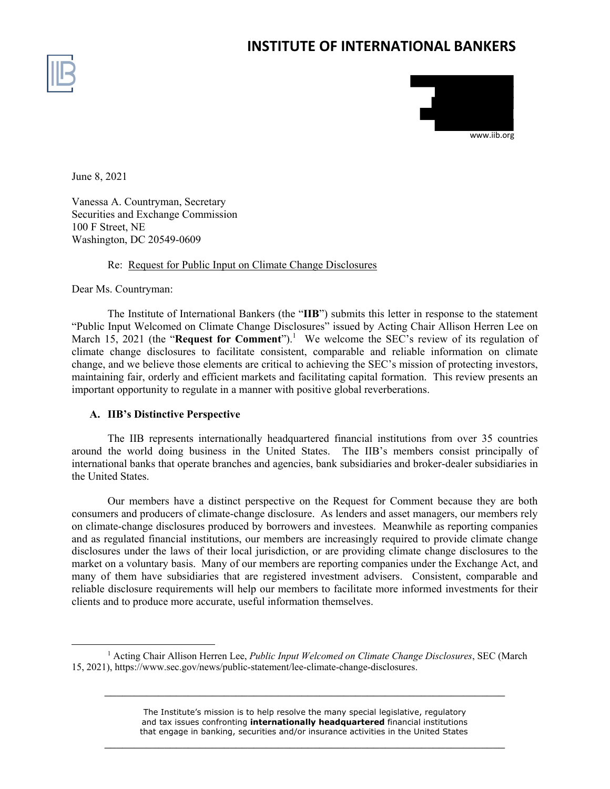# **INSTITUTE OF INTERNATIONAL BANKERS**





June 8, 2021

Vanessa A. Countryman, Secretary Securities and Exchange Commission 100 F Street, NE Washington, DC 20549-0609

# Re: Request for Public Input on Climate Change Disclosures

Dear Ms. Countryman:

The Institute of International Bankers (the "**IIB**") submits this letter in response to the statement "Public Input Welcomed on Climate Change Disclosures" issued by Acting Chair Allison Herren Lee on March 15, 2021 (the "**Request for Comment**").<sup>1</sup> We welcome the SEC's review of its regulation of climate change disclosures to facilitate consistent, comparable and reliable information on climate change, and we believe those elements are critical to achieving the SEC's mission of protecting investors, maintaining fair, orderly and efficient markets and facilitating capital formation. This review presents an important opportunity to regulate in a manner with positive global reverberations.

# **A. IIB's Distinctive Perspective**

The IIB represents internationally headquartered financial institutions from over 35 countries around the world doing business in the United States. The IIB's members consist principally of international banks that operate branches and agencies, bank subsidiaries and broker-dealer subsidiaries in the United States.

Our members have a distinct perspective on the Request for Comment because they are both consumers and producers of climate-change disclosure. As lenders and asset managers, our members rely on climate-change disclosures produced by borrowers and investees. Meanwhile as reporting companies and as regulated financial institutions, our members are increasingly required to provide climate change disclosures under the laws of their local jurisdiction, or are providing climate change disclosures to the market on a voluntary basis. Many of our members are reporting companies under the Exchange Act, and many of them have subsidiaries that are registered investment advisers. Consistent, comparable and reliable disclosure requirements will help our members to facilitate more informed investments for their clients and to produce more accurate, useful information themselves.

The Institute's mission is to help resolve the many special legislative, regulatory and tax issues confronting **internationally headquartered** financial institutions that engage in banking, securities and/or insurance activities in the United States

 $\overline{\phantom{a}}$  , and the contract of the contract of the contract of the contract of the contract of the contract of the contract of the contract of the contract of the contract of the contract of the contract of the contrac

 $\overline{\phantom{a}}$  , and the contract of the contract of the contract of the contract of the contract of the contract of the contract of the contract of the contract of the contract of the contract of the contract of the contrac

<sup>&</sup>lt;u>1</u> <sup>1</sup> Acting Chair Allison Herren Lee, *Public Input Welcomed on Climate Change Disclosures*, SEC (March 15, 2021), https://www.sec.gov/news/public-statement/lee-climate-change-disclosures.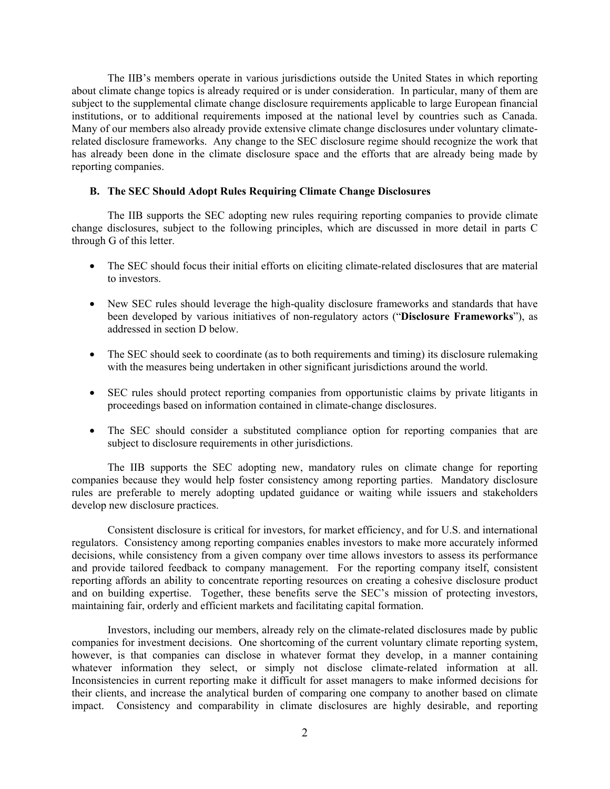The IIB's members operate in various jurisdictions outside the United States in which reporting about climate change topics is already required or is under consideration. In particular, many of them are subject to the supplemental climate change disclosure requirements applicable to large European financial institutions, or to additional requirements imposed at the national level by countries such as Canada. Many of our members also already provide extensive climate change disclosures under voluntary climaterelated disclosure frameworks. Any change to the SEC disclosure regime should recognize the work that has already been done in the climate disclosure space and the efforts that are already being made by reporting companies.

# **B. The SEC Should Adopt Rules Requiring Climate Change Disclosures**

The IIB supports the SEC adopting new rules requiring reporting companies to provide climate change disclosures, subject to the following principles, which are discussed in more detail in parts C through G of this letter.

- The SEC should focus their initial efforts on eliciting climate-related disclosures that are material to investors.
- New SEC rules should leverage the high-quality disclosure frameworks and standards that have been developed by various initiatives of non-regulatory actors ("**Disclosure Frameworks**"), as addressed in section D below.
- The SEC should seek to coordinate (as to both requirements and timing) its disclosure rulemaking with the measures being undertaken in other significant jurisdictions around the world.
- SEC rules should protect reporting companies from opportunistic claims by private litigants in proceedings based on information contained in climate-change disclosures.
- The SEC should consider a substituted compliance option for reporting companies that are subject to disclosure requirements in other jurisdictions.

The IIB supports the SEC adopting new, mandatory rules on climate change for reporting companies because they would help foster consistency among reporting parties. Mandatory disclosure rules are preferable to merely adopting updated guidance or waiting while issuers and stakeholders develop new disclosure practices.

Consistent disclosure is critical for investors, for market efficiency, and for U.S. and international regulators. Consistency among reporting companies enables investors to make more accurately informed decisions, while consistency from a given company over time allows investors to assess its performance and provide tailored feedback to company management. For the reporting company itself, consistent reporting affords an ability to concentrate reporting resources on creating a cohesive disclosure product and on building expertise. Together, these benefits serve the SEC's mission of protecting investors, maintaining fair, orderly and efficient markets and facilitating capital formation.

Investors, including our members, already rely on the climate-related disclosures made by public companies for investment decisions. One shortcoming of the current voluntary climate reporting system, however, is that companies can disclose in whatever format they develop, in a manner containing whatever information they select, or simply not disclose climate-related information at all. Inconsistencies in current reporting make it difficult for asset managers to make informed decisions for their clients, and increase the analytical burden of comparing one company to another based on climate impact. Consistency and comparability in climate disclosures are highly desirable, and reporting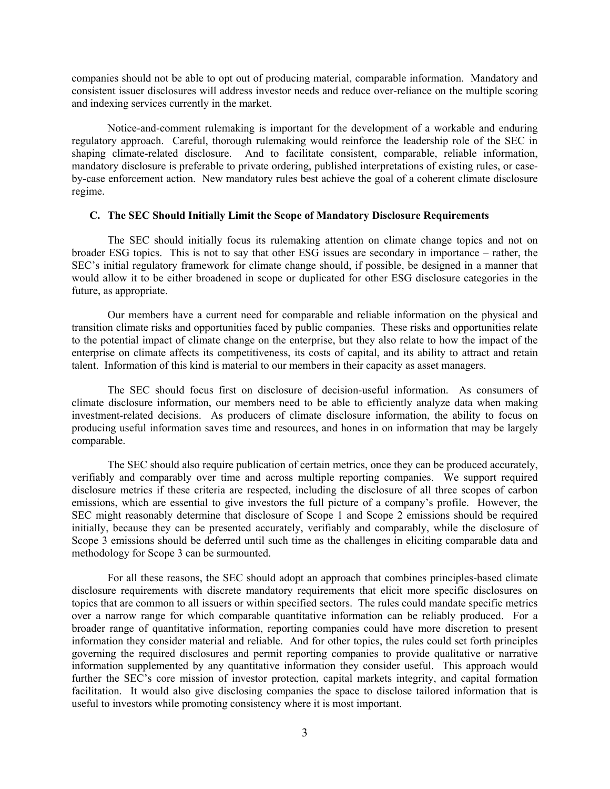companies should not be able to opt out of producing material, comparable information. Mandatory and consistent issuer disclosures will address investor needs and reduce over-reliance on the multiple scoring and indexing services currently in the market.

Notice-and-comment rulemaking is important for the development of a workable and enduring regulatory approach. Careful, thorough rulemaking would reinforce the leadership role of the SEC in shaping climate-related disclosure. And to facilitate consistent, comparable, reliable information, mandatory disclosure is preferable to private ordering, published interpretations of existing rules, or caseby-case enforcement action. New mandatory rules best achieve the goal of a coherent climate disclosure regime.

#### **C. The SEC Should Initially Limit the Scope of Mandatory Disclosure Requirements**

The SEC should initially focus its rulemaking attention on climate change topics and not on broader ESG topics. This is not to say that other ESG issues are secondary in importance – rather, the SEC's initial regulatory framework for climate change should, if possible, be designed in a manner that would allow it to be either broadened in scope or duplicated for other ESG disclosure categories in the future, as appropriate.

Our members have a current need for comparable and reliable information on the physical and transition climate risks and opportunities faced by public companies. These risks and opportunities relate to the potential impact of climate change on the enterprise, but they also relate to how the impact of the enterprise on climate affects its competitiveness, its costs of capital, and its ability to attract and retain talent. Information of this kind is material to our members in their capacity as asset managers.

The SEC should focus first on disclosure of decision-useful information. As consumers of climate disclosure information, our members need to be able to efficiently analyze data when making investment-related decisions. As producers of climate disclosure information, the ability to focus on producing useful information saves time and resources, and hones in on information that may be largely comparable.

The SEC should also require publication of certain metrics, once they can be produced accurately, verifiably and comparably over time and across multiple reporting companies. We support required disclosure metrics if these criteria are respected, including the disclosure of all three scopes of carbon emissions, which are essential to give investors the full picture of a company's profile. However, the SEC might reasonably determine that disclosure of Scope 1 and Scope 2 emissions should be required initially, because they can be presented accurately, verifiably and comparably, while the disclosure of Scope 3 emissions should be deferred until such time as the challenges in eliciting comparable data and methodology for Scope 3 can be surmounted.

For all these reasons, the SEC should adopt an approach that combines principles-based climate disclosure requirements with discrete mandatory requirements that elicit more specific disclosures on topics that are common to all issuers or within specified sectors. The rules could mandate specific metrics over a narrow range for which comparable quantitative information can be reliably produced. For a broader range of quantitative information, reporting companies could have more discretion to present information they consider material and reliable. And for other topics, the rules could set forth principles governing the required disclosures and permit reporting companies to provide qualitative or narrative information supplemented by any quantitative information they consider useful. This approach would further the SEC's core mission of investor protection, capital markets integrity, and capital formation facilitation. It would also give disclosing companies the space to disclose tailored information that is useful to investors while promoting consistency where it is most important.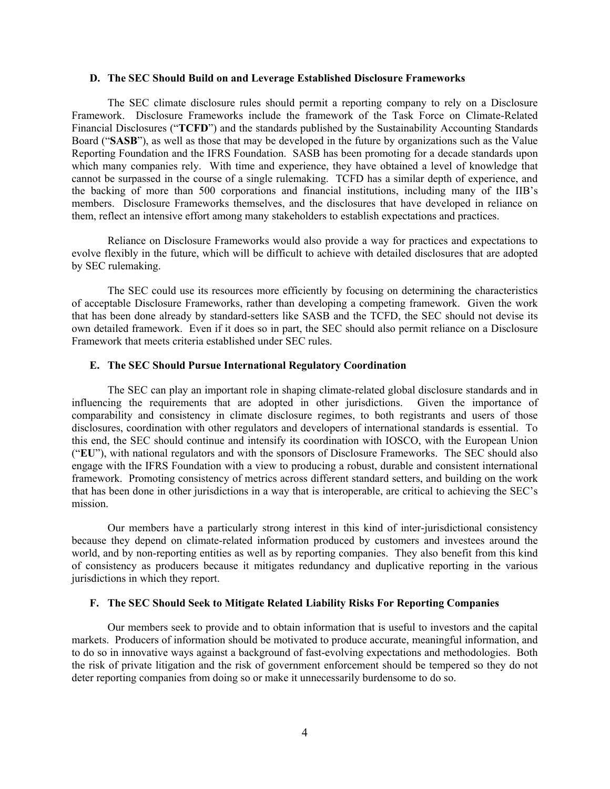#### **D. The SEC Should Build on and Leverage Established Disclosure Frameworks**

The SEC climate disclosure rules should permit a reporting company to rely on a Disclosure Framework. Disclosure Frameworks include the framework of the Task Force on Climate-Related Financial Disclosures ("**TCFD**") and the standards published by the Sustainability Accounting Standards Board ("**SASB**"), as well as those that may be developed in the future by organizations such as the Value Reporting Foundation and the IFRS Foundation. SASB has been promoting for a decade standards upon which many companies rely. With time and experience, they have obtained a level of knowledge that cannot be surpassed in the course of a single rulemaking. TCFD has a similar depth of experience, and the backing of more than 500 corporations and financial institutions, including many of the IIB's members. Disclosure Frameworks themselves, and the disclosures that have developed in reliance on them, reflect an intensive effort among many stakeholders to establish expectations and practices.

Reliance on Disclosure Frameworks would also provide a way for practices and expectations to evolve flexibly in the future, which will be difficult to achieve with detailed disclosures that are adopted by SEC rulemaking.

The SEC could use its resources more efficiently by focusing on determining the characteristics of acceptable Disclosure Frameworks, rather than developing a competing framework. Given the work that has been done already by standard-setters like SASB and the TCFD, the SEC should not devise its own detailed framework. Even if it does so in part, the SEC should also permit reliance on a Disclosure Framework that meets criteria established under SEC rules.

#### **E. The SEC Should Pursue International Regulatory Coordination**

The SEC can play an important role in shaping climate-related global disclosure standards and in influencing the requirements that are adopted in other jurisdictions. Given the importance of comparability and consistency in climate disclosure regimes, to both registrants and users of those disclosures, coordination with other regulators and developers of international standards is essential. To this end, the SEC should continue and intensify its coordination with IOSCO, with the European Union ("**EU**"), with national regulators and with the sponsors of Disclosure Frameworks. The SEC should also engage with the IFRS Foundation with a view to producing a robust, durable and consistent international framework. Promoting consistency of metrics across different standard setters, and building on the work that has been done in other jurisdictions in a way that is interoperable, are critical to achieving the SEC's mission.

Our members have a particularly strong interest in this kind of inter-jurisdictional consistency because they depend on climate-related information produced by customers and investees around the world, and by non-reporting entities as well as by reporting companies. They also benefit from this kind of consistency as producers because it mitigates redundancy and duplicative reporting in the various jurisdictions in which they report.

# **F. The SEC Should Seek to Mitigate Related Liability Risks For Reporting Companies**

Our members seek to provide and to obtain information that is useful to investors and the capital markets. Producers of information should be motivated to produce accurate, meaningful information, and to do so in innovative ways against a background of fast-evolving expectations and methodologies. Both the risk of private litigation and the risk of government enforcement should be tempered so they do not deter reporting companies from doing so or make it unnecessarily burdensome to do so.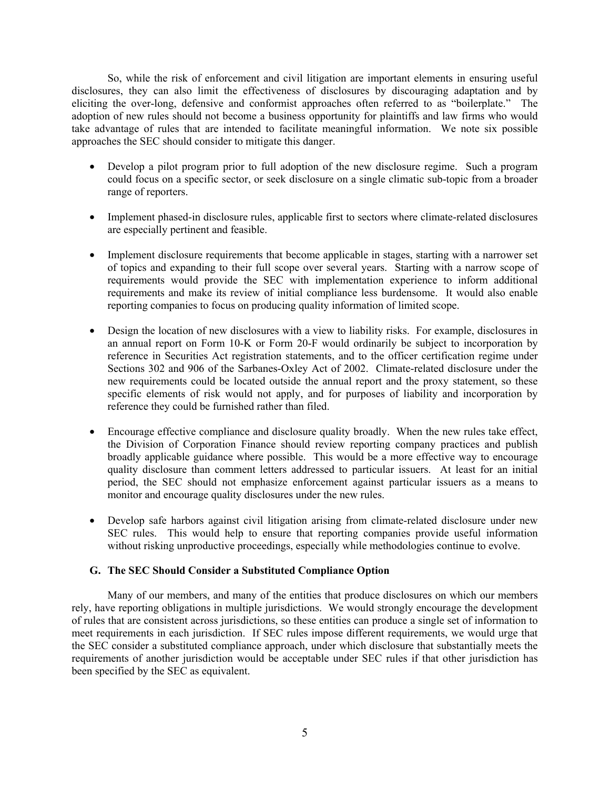So, while the risk of enforcement and civil litigation are important elements in ensuring useful disclosures, they can also limit the effectiveness of disclosures by discouraging adaptation and by eliciting the over-long, defensive and conformist approaches often referred to as "boilerplate." The adoption of new rules should not become a business opportunity for plaintiffs and law firms who would take advantage of rules that are intended to facilitate meaningful information. We note six possible approaches the SEC should consider to mitigate this danger.

- Develop a pilot program prior to full adoption of the new disclosure regime. Such a program could focus on a specific sector, or seek disclosure on a single climatic sub-topic from a broader range of reporters.
- Implement phased-in disclosure rules, applicable first to sectors where climate-related disclosures are especially pertinent and feasible.
- Implement disclosure requirements that become applicable in stages, starting with a narrower set of topics and expanding to their full scope over several years. Starting with a narrow scope of requirements would provide the SEC with implementation experience to inform additional requirements and make its review of initial compliance less burdensome. It would also enable reporting companies to focus on producing quality information of limited scope.
- Design the location of new disclosures with a view to liability risks. For example, disclosures in an annual report on Form 10-K or Form 20-F would ordinarily be subject to incorporation by reference in Securities Act registration statements, and to the officer certification regime under Sections 302 and 906 of the Sarbanes-Oxley Act of 2002. Climate-related disclosure under the new requirements could be located outside the annual report and the proxy statement, so these specific elements of risk would not apply, and for purposes of liability and incorporation by reference they could be furnished rather than filed.
- Encourage effective compliance and disclosure quality broadly. When the new rules take effect, the Division of Corporation Finance should review reporting company practices and publish broadly applicable guidance where possible. This would be a more effective way to encourage quality disclosure than comment letters addressed to particular issuers. At least for an initial period, the SEC should not emphasize enforcement against particular issuers as a means to monitor and encourage quality disclosures under the new rules.
- Develop safe harbors against civil litigation arising from climate-related disclosure under new SEC rules. This would help to ensure that reporting companies provide useful information without risking unproductive proceedings, especially while methodologies continue to evolve.

### **G. The SEC Should Consider a Substituted Compliance Option**

Many of our members, and many of the entities that produce disclosures on which our members rely, have reporting obligations in multiple jurisdictions. We would strongly encourage the development of rules that are consistent across jurisdictions, so these entities can produce a single set of information to meet requirements in each jurisdiction. If SEC rules impose different requirements, we would urge that the SEC consider a substituted compliance approach, under which disclosure that substantially meets the requirements of another jurisdiction would be acceptable under SEC rules if that other jurisdiction has been specified by the SEC as equivalent.